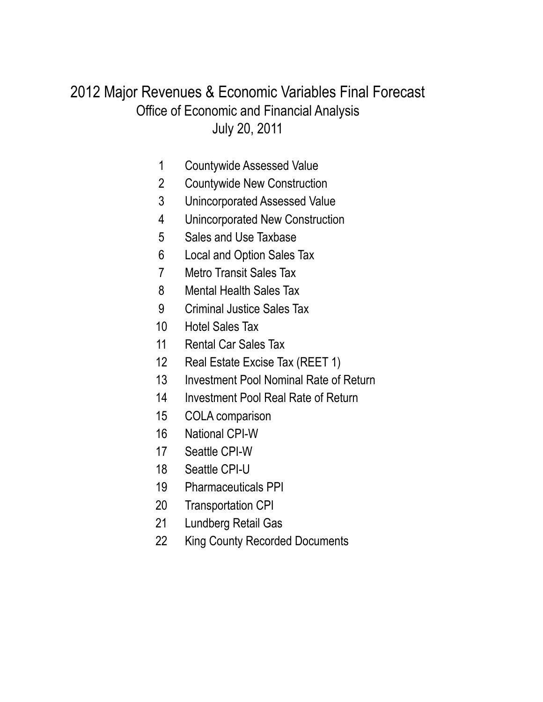## July 20, 2011 Office of Economic and Financial Analysis 2012 Major Revenues & Economic Variables Final Forecast

- Countywide Assessed Value
- Countywide New Construction
- Unincorporated Assessed Value
- Unincorporated New Construction
- Sales and Use Taxbase
- Local and Option Sales Tax
- Metro Transit Sales Tax
- Mental Health Sales Tax
- Criminal Justice Sales Tax
- Hotel Sales Tax
- Rental Car Sales Tax
- Real Estate Excise Tax (REET 1)
- Investment Pool Nominal Rate of Return
- Investment Pool Real Rate of Return
- COLA comparison
- National CPI-W
- Seattle CPI-W
- Seattle CPI-U
- Pharmaceuticals PPI
- Transportation CPI
- Lundberg Retail Gas
- King County Recorded Documents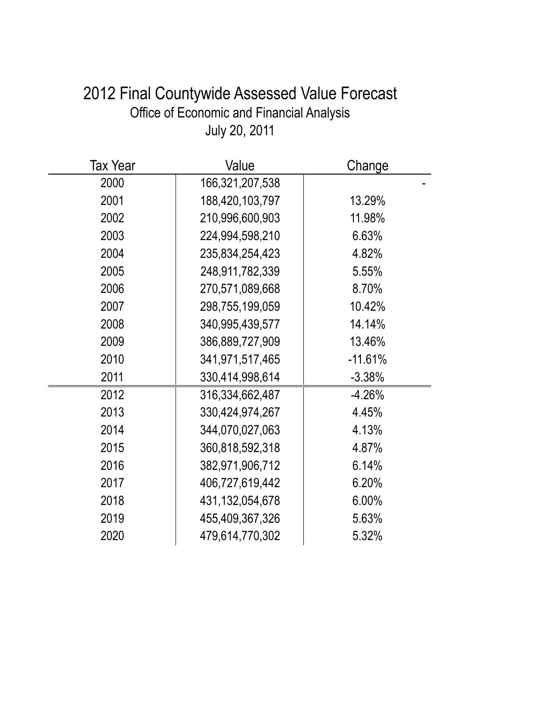# 2012 Final Countywide Assessed Value Forecast Office of Economic and Financial Analysis July 20, 2011

| <b>Tax Year</b> | Value              | Change    |
|-----------------|--------------------|-----------|
| 2000            | 166,321,207,538    |           |
| 2001            | 188,420,103,797    | 13.29%    |
| 2002            | 210,996,600,903    | 11.98%    |
| 2003            | 224,994,598,210    | 6.63%     |
| 2004            | 235,834,254,423    | 4.82%     |
| 2005            | 248,911,782,339    | 5.55%     |
| 2006            | 270,571,089,668    | 8.70%     |
| 2007            | 298,755,199,059    | 10.42%    |
| 2008            | 340,995,439,577    | 14.14%    |
| 2009            | 386,889,727,909    | 13.46%    |
| 2010            | 341,971,517,465    | $-11.61%$ |
| 2011            | 330,414,998,614    | $-3.38%$  |
| 2012            | 316, 334, 662, 487 | $-4.26%$  |
| 2013            | 330,424,974,267    | 4.45%     |
| 2014            | 344,070,027,063    | 4.13%     |
| 2015            | 360,818,592,318    | 4.87%     |
| 2016            | 382,971,906,712    | 6.14%     |
| 2017            | 406,727,619,442    | 6.20%     |
| 2018            | 431, 132, 054, 678 | 6.00%     |
| 2019            | 455,409,367,326    | 5.63%     |
| 2020            | 479,614,770,302    | 5.32%     |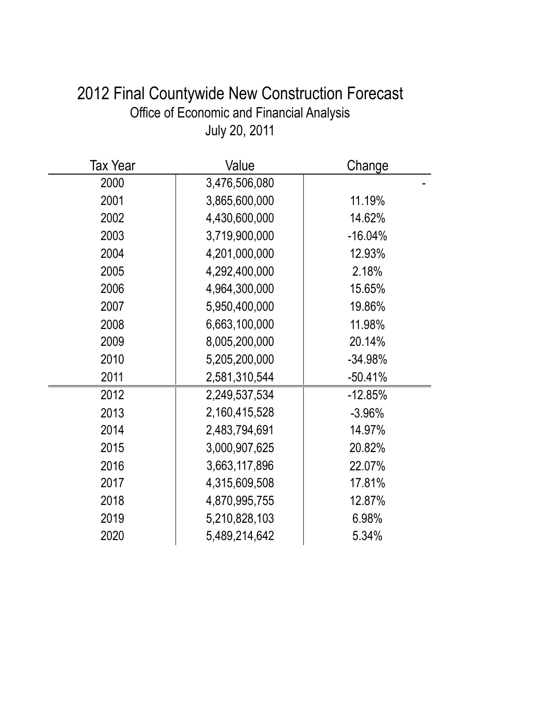| 2012 Final Countywide New Construction Forecast |
|-------------------------------------------------|
| Office of Economic and Financial Analysis       |
| July 20, 2011                                   |

| Tax Year | Value         | Change    |
|----------|---------------|-----------|
| 2000     | 3,476,506,080 |           |
| 2001     | 3,865,600,000 | 11.19%    |
| 2002     | 4,430,600,000 | 14.62%    |
| 2003     | 3,719,900,000 | $-16.04%$ |
| 2004     | 4,201,000,000 | 12.93%    |
| 2005     | 4,292,400,000 | 2.18%     |
| 2006     | 4,964,300,000 | 15.65%    |
| 2007     | 5,950,400,000 | 19.86%    |
| 2008     | 6,663,100,000 | 11.98%    |
| 2009     | 8,005,200,000 | 20.14%    |
| 2010     | 5,205,200,000 | $-34.98%$ |
| 2011     | 2,581,310,544 | $-50.41%$ |
| 2012     | 2,249,537,534 | $-12.85%$ |
| 2013     | 2,160,415,528 | $-3.96%$  |
| 2014     | 2,483,794,691 | 14.97%    |
| 2015     | 3,000,907,625 | 20.82%    |
| 2016     | 3,663,117,896 | 22.07%    |
| 2017     | 4,315,609,508 | 17.81%    |
| 2018     | 4,870,995,755 | 12.87%    |
| 2019     | 5,210,828,103 | 6.98%     |
| 2020     | 5,489,214,642 | 5.34%     |
|          |               |           |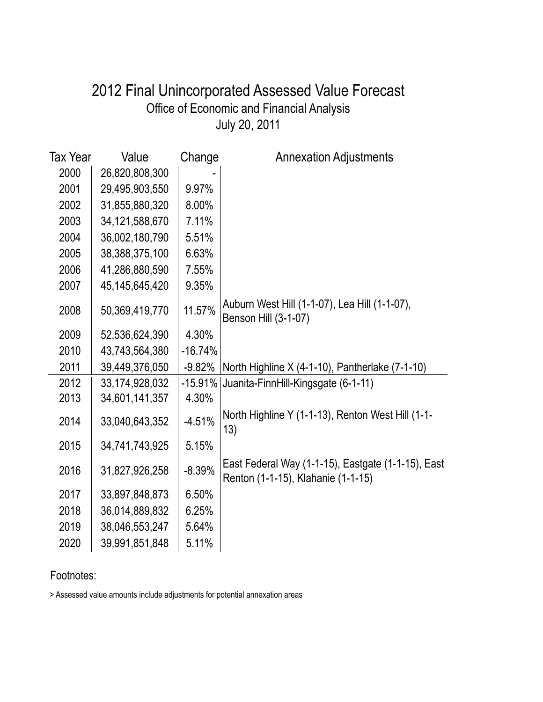### July 20, 2011 Office of Economic and Financial Analysis 2012 Final Unincorporated Assessed Value Forecast

| Tax Year | Value             | Change    | <b>Annexation Adjustments</b>                                                            |
|----------|-------------------|-----------|------------------------------------------------------------------------------------------|
| 2000     | 26,820,808,300    |           |                                                                                          |
| 2001     | 29,495,903,550    | 9.97%     |                                                                                          |
| 2002     | 31,855,880,320    | 8.00%     |                                                                                          |
| 2003     | 34, 121, 588, 670 | 7.11%     |                                                                                          |
| 2004     | 36,002,180,790    | 5.51%     |                                                                                          |
| 2005     | 38,388,375,100    | 6.63%     |                                                                                          |
| 2006     | 41,286,880,590    | 7.55%     |                                                                                          |
| 2007     | 45,145,645,420    | 9.35%     |                                                                                          |
| 2008     | 50,369,419,770    | 11.57%    | Auburn West Hill (1-1-07), Lea Hill (1-1-07),<br>Benson Hill (3-1-07)                    |
| 2009     | 52,536,624,390    | 4.30%     |                                                                                          |
| 2010     | 43,743,564,380    | $-16.74%$ |                                                                                          |
| 2011     | 39,449,376,050    | $-9.82%$  | North Highline X (4-1-10), Pantherlake (7-1-10)                                          |
| 2012     | 33, 174, 928, 032 | $-15.91%$ | Juanita-FinnHill-Kingsgate (6-1-11)                                                      |
| 2013     | 34,601,141,357    | 4.30%     |                                                                                          |
| 2014     | 33,040,643,352    | $-4.51%$  | North Highline Y (1-1-13), Renton West Hill (1-1-<br>13)                                 |
| 2015     | 34,741,743,925    | 5.15%     |                                                                                          |
| 2016     | 31,827,926,258    | $-8.39%$  | East Federal Way (1-1-15), Eastgate (1-1-15), East<br>Renton (1-1-15), Klahanie (1-1-15) |
| 2017     | 33,897,848,873    | 6.50%     |                                                                                          |
| 2018     | 36,014,889,832    | 6.25%     |                                                                                          |
| 2019     | 38,046,553,247    | 5.64%     |                                                                                          |
| 2020     | 39,991,851,848    | 5.11%     |                                                                                          |

#### Footnotes:

> Assessed value amounts include adjustments for potential annexation areas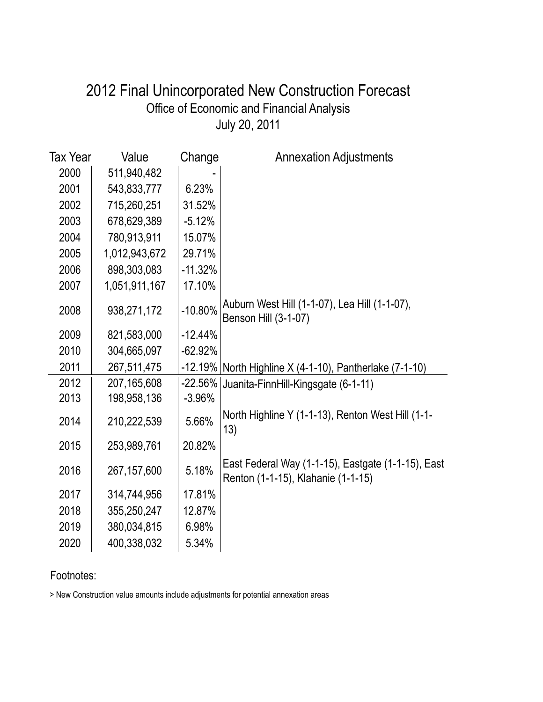### July 20, 2011 Office of Economic and Financial Analysis 2012 Final Unincorporated New Construction Forecast

| Tax Year | Value         | Change    | <b>Annexation Adjustments</b>                                                            |
|----------|---------------|-----------|------------------------------------------------------------------------------------------|
| 2000     | 511,940,482   |           |                                                                                          |
| 2001     | 543,833,777   | 6.23%     |                                                                                          |
| 2002     | 715,260,251   | 31.52%    |                                                                                          |
| 2003     | 678,629,389   | $-5.12%$  |                                                                                          |
| 2004     | 780,913,911   | 15.07%    |                                                                                          |
| 2005     | 1,012,943,672 | 29.71%    |                                                                                          |
| 2006     | 898,303,083   | $-11.32%$ |                                                                                          |
| 2007     | 1,051,911,167 | 17.10%    |                                                                                          |
| 2008     | 938,271,172   | $-10.80%$ | Auburn West Hill (1-1-07), Lea Hill (1-1-07),<br>Benson Hill (3-1-07)                    |
| 2009     | 821,583,000   | $-12.44%$ |                                                                                          |
| 2010     | 304,665,097   | $-62.92%$ |                                                                                          |
| 2011     | 267,511,475   |           | $-12.19\%$ North Highline X (4-1-10), Pantherlake (7-1-10)                               |
| 2012     | 207,165,608   | $-22.56%$ | Juanita-FinnHill-Kingsgate (6-1-11)                                                      |
| 2013     | 198,958,136   | $-3.96%$  |                                                                                          |
| 2014     | 210,222,539   | 5.66%     | North Highline Y (1-1-13), Renton West Hill (1-1-<br>13)                                 |
| 2015     | 253,989,761   | 20.82%    |                                                                                          |
| 2016     | 267, 157, 600 | 5.18%     | East Federal Way (1-1-15), Eastgate (1-1-15), East<br>Renton (1-1-15), Klahanie (1-1-15) |
| 2017     | 314,744,956   | 17.81%    |                                                                                          |
| 2018     | 355,250,247   | 12.87%    |                                                                                          |
| 2019     | 380,034,815   | 6.98%     |                                                                                          |
| 2020     | 400,338,032   | 5.34%     |                                                                                          |

#### Footnotes:

> New Construction value amounts include adjustments for potential annexation areas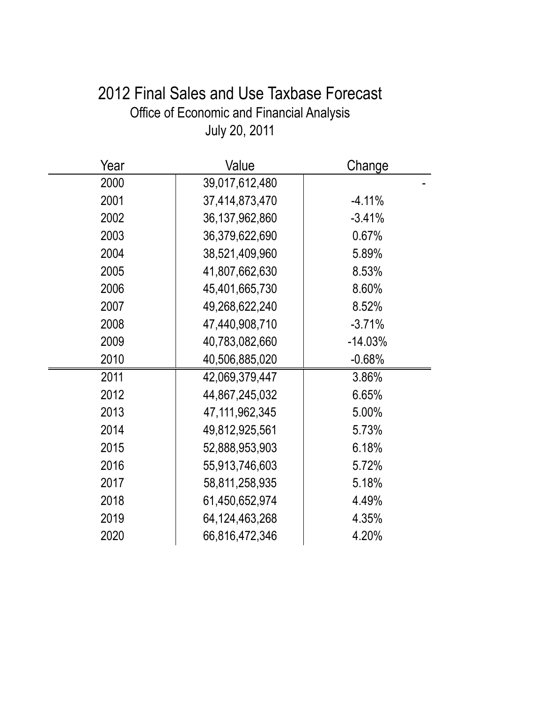# 2012 Final Sales and Use Taxbase Forecast Office of Economic and Financial Analysis July 20, 2011

| Year | Value             | Change    |
|------|-------------------|-----------|
| 2000 | 39,017,612,480    |           |
| 2001 | 37,414,873,470    | $-4.11%$  |
| 2002 | 36, 137, 962, 860 | $-3.41%$  |
| 2003 | 36,379,622,690    | 0.67%     |
| 2004 | 38,521,409,960    | 5.89%     |
| 2005 | 41,807,662,630    | 8.53%     |
| 2006 | 45,401,665,730    | 8.60%     |
| 2007 | 49,268,622,240    | 8.52%     |
| 2008 | 47,440,908,710    | $-3.71%$  |
| 2009 | 40,783,082,660    | $-14.03%$ |
| 2010 | 40,506,885,020    | $-0.68%$  |
| 2011 | 42,069,379,447    | 3.86%     |
| 2012 | 44,867,245,032    | 6.65%     |
| 2013 | 47,111,962,345    | 5.00%     |
| 2014 | 49,812,925,561    | 5.73%     |
| 2015 | 52,888,953,903    | 6.18%     |
| 2016 | 55,913,746,603    | 5.72%     |
| 2017 | 58,811,258,935    | 5.18%     |
| 2018 | 61,450,652,974    | 4.49%     |
| 2019 | 64, 124, 463, 268 | 4.35%     |
| 2020 | 66,816,472,346    | 4.20%     |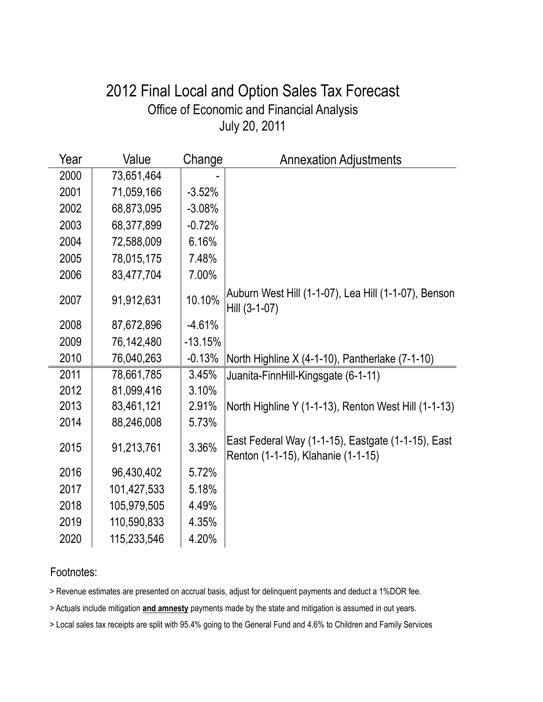### July 20, 2011 Office of Economic and Financial Analysis 2012 Final Local and Option Sales Tax Forecast

| Year | Value       | Change    | <b>Annexation Adjustments</b>                                                            |
|------|-------------|-----------|------------------------------------------------------------------------------------------|
| 2000 | 73,651,464  |           |                                                                                          |
| 2001 | 71,059,166  | $-3.52%$  |                                                                                          |
| 2002 | 68,873,095  | $-3.08%$  |                                                                                          |
| 2003 | 68,377,899  | $-0.72%$  |                                                                                          |
| 2004 | 72,588,009  | 6.16%     |                                                                                          |
| 2005 | 78,015,175  | 7.48%     |                                                                                          |
| 2006 | 83,477,704  | 7.00%     |                                                                                          |
| 2007 | 91,912,631  | 10.10%    | Auburn West Hill (1-1-07), Lea Hill (1-1-07), Benson<br>Hill (3-1-07)                    |
| 2008 | 87,672,896  | $-4.61%$  |                                                                                          |
| 2009 | 76,142,480  | $-13.15%$ |                                                                                          |
| 2010 | 76,040,263  | $-0.13%$  | North Highline X (4-1-10), Pantherlake (7-1-10)                                          |
| 2011 | 78,661,785  | 3.45%     | Juanita-FinnHill-Kingsgate (6-1-11)                                                      |
| 2012 | 81,099,416  | 3.10%     |                                                                                          |
| 2013 | 83,461,121  | 2.91%     | North Highline Y (1-1-13), Renton West Hill (1-1-13)                                     |
| 2014 | 88,246,008  | 5.73%     |                                                                                          |
| 2015 | 91,213,761  | 3.36%     | East Federal Way (1-1-15), Eastgate (1-1-15), East<br>Renton (1-1-15), Klahanie (1-1-15) |
| 2016 | 96,430,402  | 5.72%     |                                                                                          |
| 2017 | 101,427,533 | 5.18%     |                                                                                          |
| 2018 | 105,979,505 | 4.49%     |                                                                                          |
| 2019 | 110,590,833 | 4.35%     |                                                                                          |
| 2020 | 115,233,546 | 4.20%     |                                                                                          |

#### Footnotes:

> Revenue estimates are presented on accrual basis, adjust for delinquent payments and deduct a 1%DOR fee.

> Actuals include mitigation **and amnesty** payments made by the state and mitigation is assumed in out years.

> Local sales tax receipts are split with 95.4% going to the General Fund and 4.6% to Children and Family Services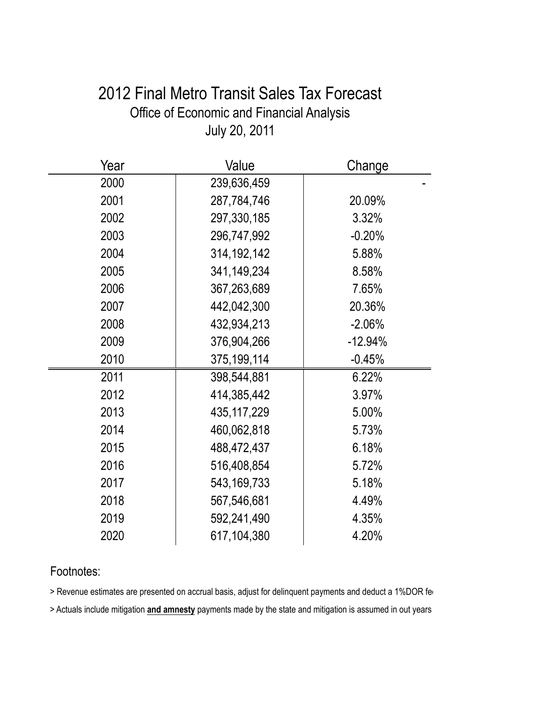## 2012 Final Metro Transit Sales Tax Forecast Office of Economic and Financial Analysis July 20, 2011

| Year | Value         | Change    |
|------|---------------|-----------|
| 2000 | 239,636,459   |           |
| 2001 | 287,784,746   | 20.09%    |
| 2002 | 297,330,185   | 3.32%     |
| 2003 | 296,747,992   | $-0.20%$  |
| 2004 | 314, 192, 142 | 5.88%     |
| 2005 | 341,149,234   | 8.58%     |
| 2006 | 367,263,689   | 7.65%     |
| 2007 | 442,042,300   | 20.36%    |
| 2008 | 432,934,213   | $-2.06%$  |
| 2009 | 376,904,266   | $-12.94%$ |
| 2010 | 375,199,114   | $-0.45%$  |
| 2011 | 398,544,881   | 6.22%     |
| 2012 | 414,385,442   | 3.97%     |
| 2013 | 435, 117, 229 | 5.00%     |
| 2014 | 460,062,818   | 5.73%     |
| 2015 | 488,472,437   | 6.18%     |
| 2016 | 516,408,854   | 5.72%     |
| 2017 | 543, 169, 733 | 5.18%     |
| 2018 | 567,546,681   | 4.49%     |
| 2019 | 592,241,490   | 4.35%     |
| 2020 | 617,104,380   | 4.20%     |

#### Footnotes:

> Revenue estimates are presented on accrual basis, adjust for delinquent payments and deduct a 1%DOR fere

> Actuals include mitigation **and amnesty** payments made by the state and mitigation is assumed in out years.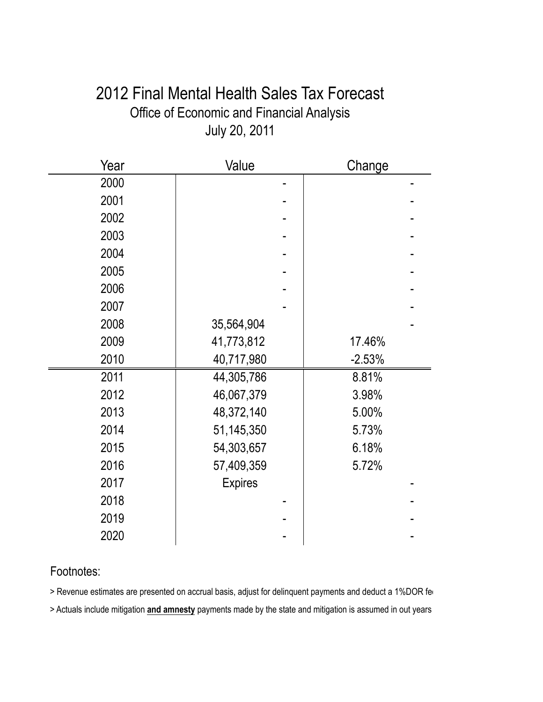## 2012 Final Mental Health Sales Tax Forecast Office of Economic and Financial Analysis July 20, 2011

| Year | Value          | Change   |
|------|----------------|----------|
| 2000 |                |          |
| 2001 |                |          |
| 2002 |                |          |
| 2003 |                |          |
| 2004 |                |          |
| 2005 |                |          |
| 2006 |                |          |
| 2007 |                |          |
| 2008 | 35,564,904     |          |
| 2009 | 41,773,812     | 17.46%   |
| 2010 | 40,717,980     | $-2.53%$ |
| 2011 | 44,305,786     | 8.81%    |
| 2012 | 46,067,379     | 3.98%    |
| 2013 | 48,372,140     | 5.00%    |
| 2014 | 51,145,350     | 5.73%    |
| 2015 | 54,303,657     | 6.18%    |
| 2016 | 57,409,359     | 5.72%    |
| 2017 | <b>Expires</b> |          |
| 2018 |                |          |
| 2019 |                |          |
| 2020 |                |          |

#### Footnotes:

> Revenue estimates are presented on accrual basis, adjust for delinquent payments and deduct a 1%DOR fere

> Actuals include mitigation **and amnesty** payments made by the state and mitigation is assumed in out years.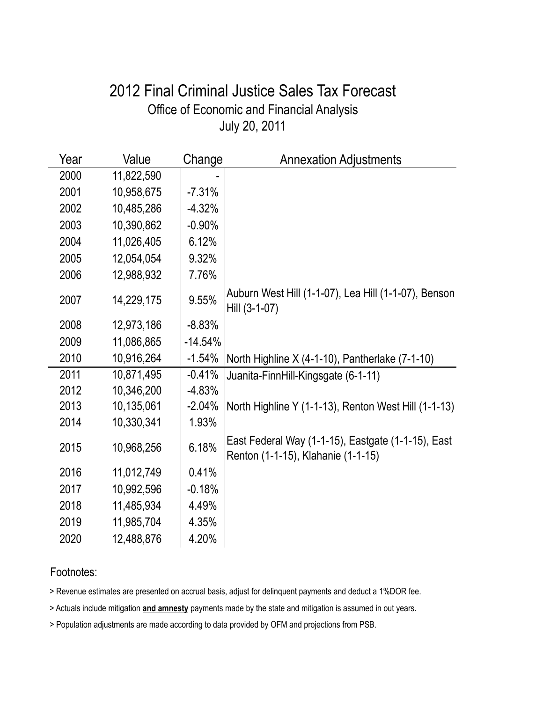### July 20, 2011 Office of Economic and Financial Analysis 2012 Final Criminal Justice Sales Tax Forecast

| Year | Value      | Change    | <b>Annexation Adjustments</b>                                                            |
|------|------------|-----------|------------------------------------------------------------------------------------------|
| 2000 | 11,822,590 |           |                                                                                          |
| 2001 | 10,958,675 | $-7.31%$  |                                                                                          |
| 2002 | 10,485,286 | $-4.32%$  |                                                                                          |
| 2003 | 10,390,862 | $-0.90%$  |                                                                                          |
| 2004 | 11,026,405 | 6.12%     |                                                                                          |
| 2005 | 12,054,054 | 9.32%     |                                                                                          |
| 2006 | 12,988,932 | 7.76%     |                                                                                          |
| 2007 | 14,229,175 | 9.55%     | Auburn West Hill (1-1-07), Lea Hill (1-1-07), Benson<br>Hill (3-1-07)                    |
| 2008 | 12,973,186 | $-8.83%$  |                                                                                          |
| 2009 | 11,086,865 | $-14.54%$ |                                                                                          |
| 2010 | 10,916,264 | $-1.54%$  | North Highline X (4-1-10), Pantherlake (7-1-10)                                          |
| 2011 | 10,871,495 | $-0.41%$  | Juanita-FinnHill-Kingsgate (6-1-11)                                                      |
| 2012 | 10,346,200 | $-4.83%$  |                                                                                          |
| 2013 | 10,135,061 | $-2.04%$  | North Highline Y (1-1-13), Renton West Hill (1-1-13)                                     |
| 2014 | 10,330,341 | 1.93%     |                                                                                          |
| 2015 | 10,968,256 | 6.18%     | East Federal Way (1-1-15), Eastgate (1-1-15), East<br>Renton (1-1-15), Klahanie (1-1-15) |
| 2016 | 11,012,749 | 0.41%     |                                                                                          |
| 2017 | 10,992,596 | $-0.18%$  |                                                                                          |
| 2018 | 11,485,934 | 4.49%     |                                                                                          |
| 2019 | 11,985,704 | 4.35%     |                                                                                          |
| 2020 | 12,488,876 | 4.20%     |                                                                                          |

#### Footnotes:

> Revenue estimates are presented on accrual basis, adjust for delinquent payments and deduct a 1%DOR fee.

> Actuals include mitigation **and amnesty** payments made by the state and mitigation is assumed in out years.

> Population adjustments are made according to data provided by OFM and projections from PSB.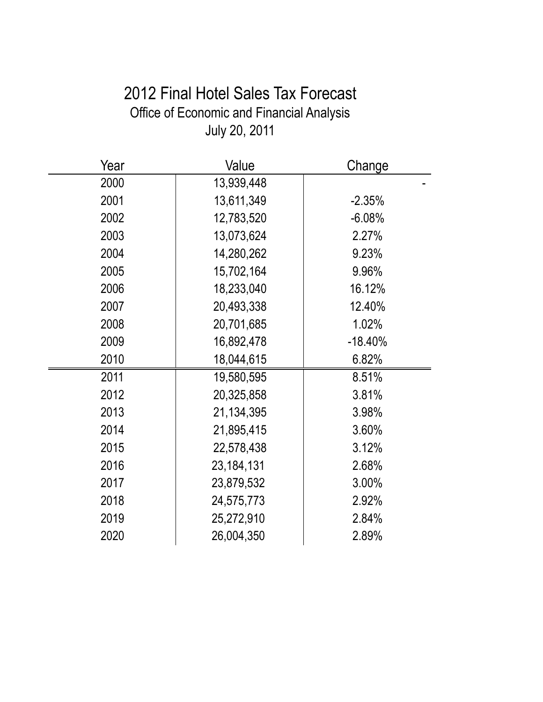# 2012 Final Hotel Sales Tax Forecast Office of Economic and Financial Analysis July 20, 2011

| Year | Value        | Change    |
|------|--------------|-----------|
| 2000 | 13,939,448   |           |
| 2001 | 13,611,349   | $-2.35%$  |
| 2002 | 12,783,520   | $-6.08%$  |
| 2003 | 13,073,624   | 2.27%     |
| 2004 | 14,280,262   | 9.23%     |
| 2005 | 15,702,164   | 9.96%     |
| 2006 | 18,233,040   | 16.12%    |
| 2007 | 20,493,338   | 12.40%    |
| 2008 | 20,701,685   | 1.02%     |
| 2009 | 16,892,478   | $-18.40%$ |
| 2010 | 18,044,615   | 6.82%     |
| 2011 | 19,580,595   | 8.51%     |
| 2012 | 20,325,858   | 3.81%     |
| 2013 | 21,134,395   | 3.98%     |
| 2014 | 21,895,415   | 3.60%     |
| 2015 | 22,578,438   | 3.12%     |
| 2016 | 23, 184, 131 | 2.68%     |
| 2017 | 23,879,532   | 3.00%     |
| 2018 | 24,575,773   | 2.92%     |
| 2019 | 25,272,910   | 2.84%     |
| 2020 | 26,004,350   | 2.89%     |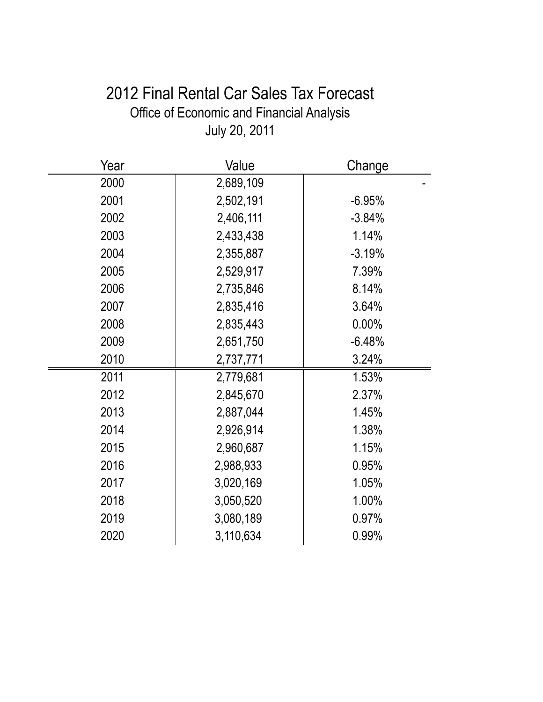# 2012 Final Rental Car Sales Tax Forecast Office of Economic and Financial Analysis July 20, 2011

| Year | Value     | Change   |
|------|-----------|----------|
| 2000 | 2,689,109 |          |
| 2001 | 2,502,191 | $-6.95%$ |
| 2002 | 2,406,111 | $-3.84%$ |
| 2003 | 2,433,438 | 1.14%    |
| 2004 | 2,355,887 | $-3.19%$ |
| 2005 | 2,529,917 | 7.39%    |
| 2006 | 2,735,846 | 8.14%    |
| 2007 | 2,835,416 | 3.64%    |
| 2008 | 2,835,443 | 0.00%    |
| 2009 | 2,651,750 | $-6.48%$ |
| 2010 | 2,737,771 | 3.24%    |
| 2011 | 2,779,681 | 1.53%    |
| 2012 | 2,845,670 | 2.37%    |
| 2013 | 2,887,044 | 1.45%    |
| 2014 | 2,926,914 | 1.38%    |
| 2015 | 2,960,687 | 1.15%    |
| 2016 | 2,988,933 | 0.95%    |
| 2017 | 3,020,169 | 1.05%    |
| 2018 | 3,050,520 | 1.00%    |
| 2019 | 3,080,189 | 0.97%    |
| 2020 | 3,110,634 | 0.99%    |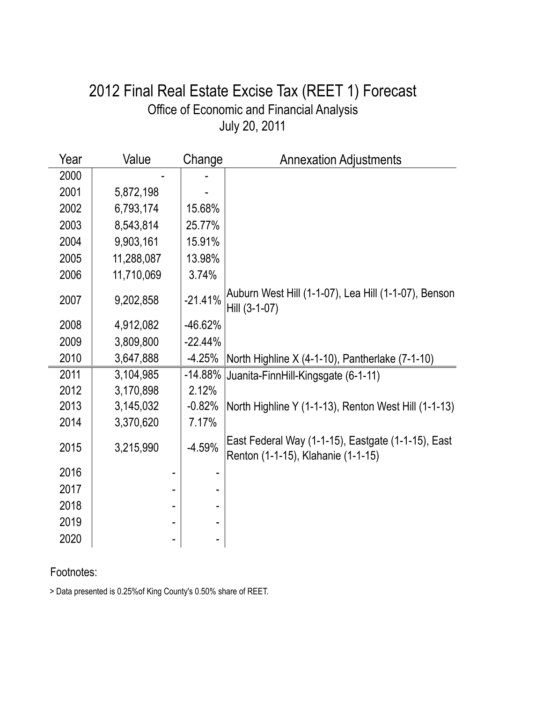## July 20, 2011 Office of Economic and Financial Analysis 2012 Final Real Estate Excise Tax (REET 1) Forecast

| Year | Value      | Change    | <b>Annexation Adjustments</b>                                                            |
|------|------------|-----------|------------------------------------------------------------------------------------------|
| 2000 |            |           |                                                                                          |
| 2001 | 5,872,198  |           |                                                                                          |
| 2002 | 6,793,174  | 15.68%    |                                                                                          |
| 2003 | 8,543,814  | 25.77%    |                                                                                          |
| 2004 | 9,903,161  | 15.91%    |                                                                                          |
| 2005 | 11,288,087 | 13.98%    |                                                                                          |
| 2006 | 11,710,069 | 3.74%     |                                                                                          |
| 2007 | 9,202,858  | $-21.41%$ | Auburn West Hill (1-1-07), Lea Hill (1-1-07), Benson<br>Hill (3-1-07)                    |
| 2008 | 4,912,082  | $-46.62%$ |                                                                                          |
| 2009 | 3,809,800  | $-22.44%$ |                                                                                          |
| 2010 | 3,647,888  | $-4.25%$  | North Highline X (4-1-10), Pantherlake (7-1-10)                                          |
| 2011 | 3,104,985  | $-14.88%$ | Juanita-FinnHill-Kingsgate (6-1-11)                                                      |
| 2012 | 3,170,898  | 2.12%     |                                                                                          |
| 2013 | 3,145,032  | $-0.82%$  | North Highline Y (1-1-13), Renton West Hill (1-1-13)                                     |
| 2014 | 3,370,620  | 7.17%     |                                                                                          |
| 2015 | 3,215,990  | $-4.59%$  | East Federal Way (1-1-15), Eastgate (1-1-15), East<br>Renton (1-1-15), Klahanie (1-1-15) |
| 2016 |            |           |                                                                                          |
| 2017 |            |           |                                                                                          |
| 2018 |            |           |                                                                                          |
| 2019 |            |           |                                                                                          |
| 2020 |            |           |                                                                                          |

#### Footnotes:

> Data presented is 0.25%of King County's 0.50% share of REET.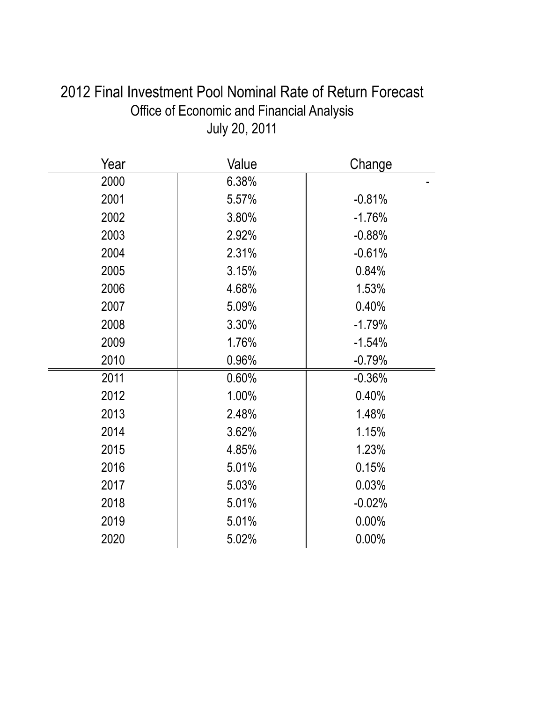| JUIY ZU, ZUTT |       |          |  |  |
|---------------|-------|----------|--|--|
| Year          | Value | Change   |  |  |
| 2000          | 6.38% |          |  |  |
| 2001          | 5.57% | $-0.81%$ |  |  |
| 2002          | 3.80% | $-1.76%$ |  |  |
| 2003          | 2.92% | $-0.88%$ |  |  |
| 2004          | 2.31% | $-0.61%$ |  |  |
| 2005          | 3.15% | 0.84%    |  |  |
| 2006          | 4.68% | 1.53%    |  |  |
| 2007          | 5.09% | 0.40%    |  |  |
| 2008          | 3.30% | $-1.79%$ |  |  |
| 2009          | 1.76% | $-1.54%$ |  |  |
| 2010          | 0.96% | $-0.79%$ |  |  |
| 2011          | 0.60% | $-0.36%$ |  |  |
| 2012          | 1.00% | 0.40%    |  |  |
| 2013          | 2.48% | 1.48%    |  |  |
| 2014          | 3.62% | 1.15%    |  |  |
| 2015          | 4.85% | 1.23%    |  |  |
| 2016          | 5.01% | 0.15%    |  |  |
| 2017          | 5.03% | 0.03%    |  |  |
| 2018          | 5.01% | $-0.02%$ |  |  |
| 2019          | 5.01% | 0.00%    |  |  |
| 2020          | 5.02% | 0.00%    |  |  |

2012 Final Investment Pool Nominal Rate of Return Forecast Office of Economic and Financial Analysis July 20, 2011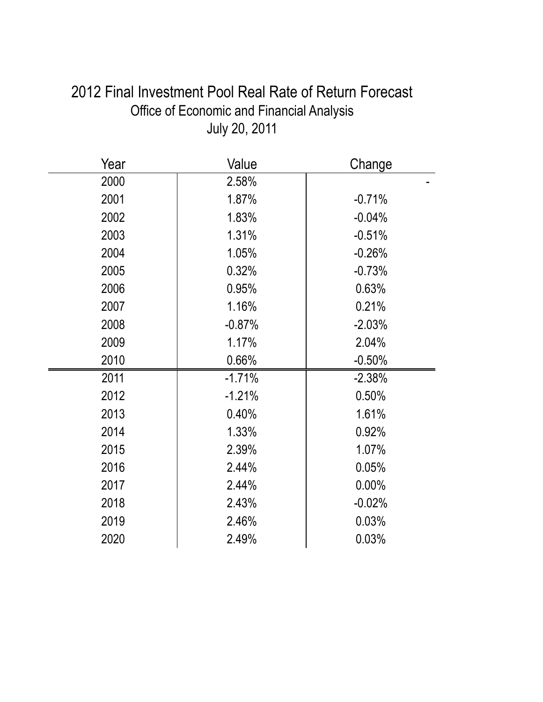| Year | Value    | Change   |
|------|----------|----------|
| 2000 | 2.58%    |          |
| 2001 | 1.87%    | $-0.71%$ |
| 2002 | 1.83%    | $-0.04%$ |
| 2003 | 1.31%    | $-0.51%$ |
| 2004 | 1.05%    | $-0.26%$ |
| 2005 | 0.32%    | $-0.73%$ |
| 2006 | 0.95%    | 0.63%    |
| 2007 | 1.16%    | 0.21%    |
| 2008 | $-0.87%$ | $-2.03%$ |
| 2009 | 1.17%    | 2.04%    |
| 2010 | 0.66%    | $-0.50%$ |
| 2011 | $-1.71%$ | $-2.38%$ |
| 2012 | $-1.21%$ | 0.50%    |
| 2013 | 0.40%    | 1.61%    |
| 2014 | 1.33%    | 0.92%    |
| 2015 | 2.39%    | 1.07%    |
| 2016 | 2.44%    | 0.05%    |
| 2017 | 2.44%    | 0.00%    |
| 2018 | 2.43%    | $-0.02%$ |
| 2019 | 2.46%    | 0.03%    |
| 2020 | 2.49%    | 0.03%    |

2012 Final Investment Pool Real Rate of Return Forecast Office of Economic and Financial Analysis July 20, 2011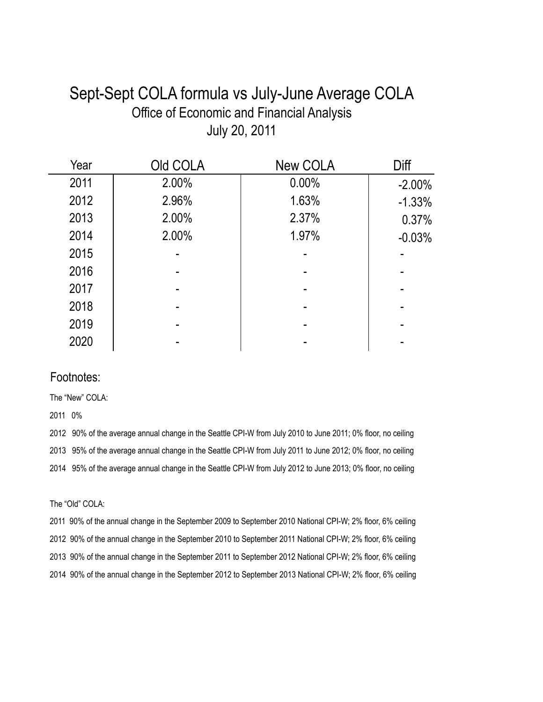## Sept-Sept COLA formula vs July-June Average COLA Office of Economic and Financial Analysis July 20, 2011

| Year | Old COLA | <b>New COLA</b> | Diff      |
|------|----------|-----------------|-----------|
| 2011 | 2.00%    | 0.00%           | $-2.00\%$ |
| 2012 | 2.96%    | 1.63%           | $-1.33%$  |
| 2013 | 2.00%    | 2.37%           | 0.37%     |
| 2014 | 2.00%    | 1.97%           | $-0.03%$  |
| 2015 |          |                 |           |
| 2016 |          |                 |           |
| 2017 |          |                 |           |
| 2018 |          |                 |           |
| 2019 |          |                 |           |
| 2020 |          |                 |           |

#### Footnotes:

The "New" COLA:

2011 0%

2012 90% of the average annual change in the Seattle CPI-W from July 2010 to June 2011; 0% floor, no ceiling 2013 95% of the average annual change in the Seattle CPI-W from July 2011 to June 2012; 0% floor, no ceiling 2014 95% of the average annual change in the Seattle CPI-W from July 2012 to June 2013; 0% floor, no ceiling

The "Old" COLA:

2011 90% of the annual change in the September 2009 to September 2010 National CPI-W; 2% floor, 6% ceiling 2012 90% of the annual change in the September 2010 to September 2011 National CPI-W; 2% floor, 6% ceiling 2013 90% of the annual change in the September 2011 to September 2012 National CPI-W; 2% floor, 6% ceiling 2014 90% of the annual change in the September 2012 to September 2013 National CPI-W; 2% floor, 6% ceiling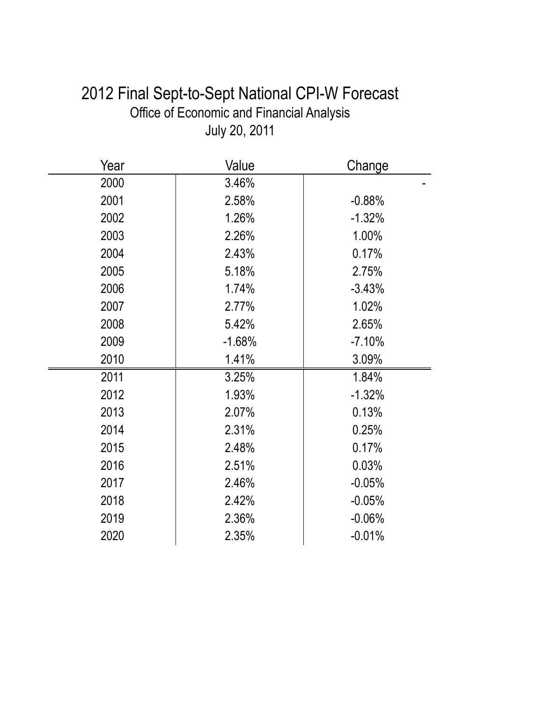| 2012 Final Sept-to-Sept National CPI-W Forecast  |  |
|--------------------------------------------------|--|
| <b>Office of Economic and Financial Analysis</b> |  |
| July 20, 2011                                    |  |
|                                                  |  |

| Year | Value    | Change   |
|------|----------|----------|
| 2000 | 3.46%    |          |
| 2001 | 2.58%    | $-0.88%$ |
| 2002 | 1.26%    | $-1.32%$ |
| 2003 | 2.26%    | 1.00%    |
| 2004 | 2.43%    | 0.17%    |
| 2005 | 5.18%    | 2.75%    |
| 2006 | 1.74%    | $-3.43%$ |
| 2007 | 2.77%    | 1.02%    |
| 2008 | 5.42%    | 2.65%    |
| 2009 | $-1.68%$ | $-7.10%$ |
| 2010 | 1.41%    | 3.09%    |
| 2011 | 3.25%    | 1.84%    |
| 2012 | 1.93%    | $-1.32%$ |
| 2013 | 2.07%    | 0.13%    |
| 2014 | 2.31%    | 0.25%    |
| 2015 | 2.48%    | 0.17%    |
| 2016 | 2.51%    | 0.03%    |
| 2017 | 2.46%    | $-0.05%$ |
| 2018 | 2.42%    | $-0.05%$ |
| 2019 | 2.36%    | $-0.06%$ |
| 2020 | 2.35%    | $-0.01%$ |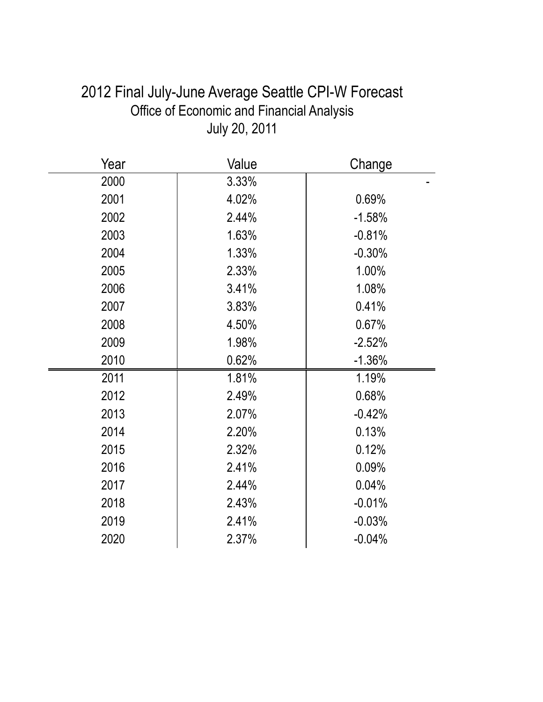| 2012 Final July-June Average Seattle CPI-W Forecast |
|-----------------------------------------------------|
| Office of Economic and Financial Analysis           |
| July 20, 2011                                       |
|                                                     |

| Year | Value | Change   |
|------|-------|----------|
| 2000 | 3.33% |          |
| 2001 | 4.02% | 0.69%    |
| 2002 | 2.44% | $-1.58%$ |
| 2003 | 1.63% | $-0.81%$ |
| 2004 | 1.33% | $-0.30%$ |
| 2005 | 2.33% | 1.00%    |
| 2006 | 3.41% | 1.08%    |
| 2007 | 3.83% | 0.41%    |
| 2008 | 4.50% | 0.67%    |
| 2009 | 1.98% | $-2.52%$ |
| 2010 | 0.62% | $-1.36%$ |
| 2011 | 1.81% | 1.19%    |
| 2012 | 2.49% | 0.68%    |
| 2013 | 2.07% | $-0.42%$ |
| 2014 | 2.20% | 0.13%    |
| 2015 | 2.32% | 0.12%    |
| 2016 | 2.41% | 0.09%    |
| 2017 | 2.44% | 0.04%    |
| 2018 | 2.43% | $-0.01%$ |
| 2019 | 2.41% | $-0.03%$ |
| 2020 | 2.37% | $-0.04%$ |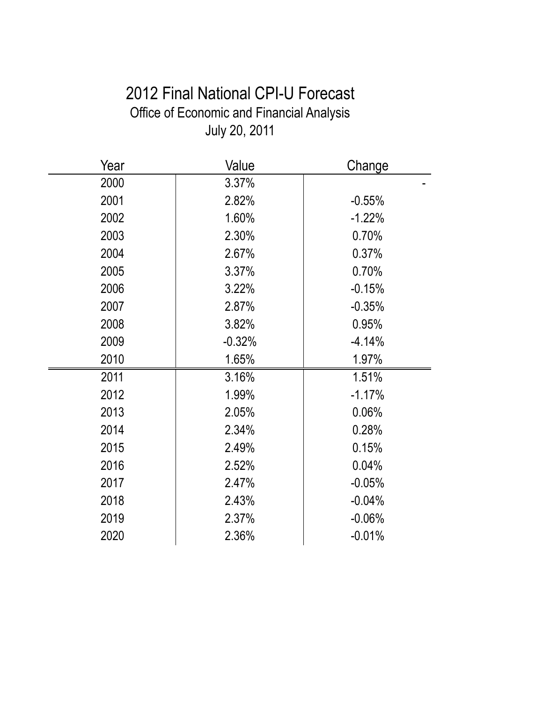# 2012 Final National CPI-U Forecast Office of Economic and Financial Analysis July 20, 2011

| Year | Value    | Change   |
|------|----------|----------|
| 2000 | 3.37%    |          |
| 2001 | 2.82%    | $-0.55%$ |
| 2002 | 1.60%    | $-1.22%$ |
| 2003 | 2.30%    | 0.70%    |
| 2004 | 2.67%    | 0.37%    |
| 2005 | 3.37%    | 0.70%    |
| 2006 | 3.22%    | $-0.15%$ |
| 2007 | 2.87%    | $-0.35%$ |
| 2008 | 3.82%    | 0.95%    |
| 2009 | $-0.32%$ | $-4.14%$ |
| 2010 | 1.65%    | 1.97%    |
| 2011 | 3.16%    | 1.51%    |
| 2012 | 1.99%    | $-1.17%$ |
| 2013 | 2.05%    | 0.06%    |
| 2014 | 2.34%    | 0.28%    |
| 2015 | 2.49%    | 0.15%    |
| 2016 | 2.52%    | 0.04%    |
| 2017 | 2.47%    | $-0.05%$ |
| 2018 | 2.43%    | $-0.04%$ |
| 2019 | 2.37%    | $-0.06%$ |
| 2020 | 2.36%    | $-0.01%$ |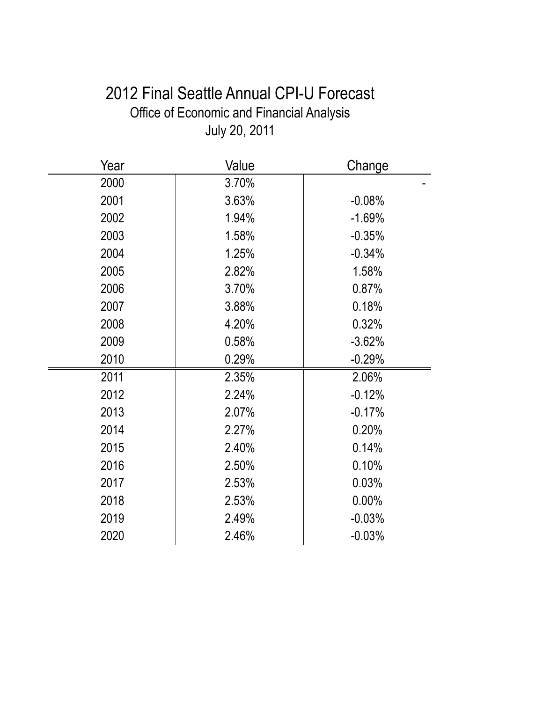# 2012 Final Seattle Annual CPI-U Forecast Office of Economic and Financial Analysis July 20, 2011

| Year | Value | Change   |
|------|-------|----------|
| 2000 | 3.70% |          |
| 2001 | 3.63% | $-0.08%$ |
| 2002 | 1.94% | $-1.69%$ |
| 2003 | 1.58% | $-0.35%$ |
| 2004 | 1.25% | $-0.34%$ |
| 2005 | 2.82% | 1.58%    |
| 2006 | 3.70% | 0.87%    |
| 2007 | 3.88% | 0.18%    |
| 2008 | 4.20% | 0.32%    |
| 2009 | 0.58% | $-3.62%$ |
| 2010 | 0.29% | $-0.29%$ |
| 2011 | 2.35% | 2.06%    |
| 2012 | 2.24% | $-0.12%$ |
| 2013 | 2.07% | $-0.17%$ |
| 2014 | 2.27% | 0.20%    |
| 2015 | 2.40% | 0.14%    |
| 2016 | 2.50% | 0.10%    |
| 2017 | 2.53% | 0.03%    |
| 2018 | 2.53% | $0.00\%$ |
| 2019 | 2.49% | $-0.03%$ |
| 2020 | 2.46% | $-0.03%$ |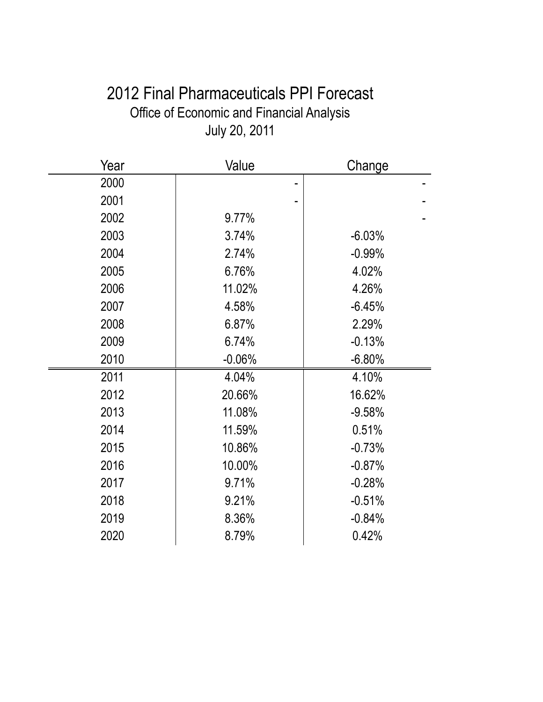# 2012 Final Pharmaceuticals PPI Forecast Office of Economic and Financial Analysis July 20, 2011

| Year | Value    | Change   |
|------|----------|----------|
| 2000 |          |          |
| 2001 |          |          |
| 2002 | 9.77%    |          |
| 2003 | 3.74%    | $-6.03%$ |
| 2004 | 2.74%    | $-0.99%$ |
| 2005 | 6.76%    | 4.02%    |
| 2006 | 11.02%   | 4.26%    |
| 2007 | 4.58%    | $-6.45%$ |
| 2008 | 6.87%    | 2.29%    |
| 2009 | 6.74%    | $-0.13%$ |
| 2010 | $-0.06%$ | $-6.80%$ |
| 2011 | 4.04%    | 4.10%    |
| 2012 | 20.66%   | 16.62%   |
| 2013 | 11.08%   | $-9.58%$ |
| 2014 | 11.59%   | 0.51%    |
| 2015 | 10.86%   | $-0.73%$ |
| 2016 | 10.00%   | $-0.87%$ |
| 2017 | 9.71%    | $-0.28%$ |
| 2018 | 9.21%    | $-0.51%$ |
| 2019 | 8.36%    | $-0.84%$ |
| 2020 | 8.79%    | 0.42%    |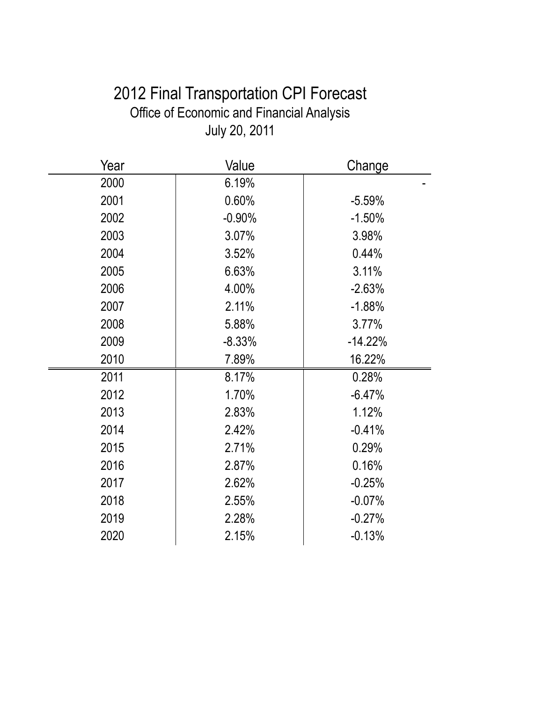# 2012 Final Transportation CPI Forecast Office of Economic and Financial Analysis July 20, 2011

| Year | Value    | Change    |
|------|----------|-----------|
| 2000 | 6.19%    |           |
| 2001 | 0.60%    | $-5.59%$  |
| 2002 | $-0.90%$ | $-1.50%$  |
| 2003 | 3.07%    | 3.98%     |
| 2004 | 3.52%    | 0.44%     |
| 2005 | 6.63%    | 3.11%     |
| 2006 | 4.00%    | $-2.63%$  |
| 2007 | 2.11%    | $-1.88%$  |
| 2008 | 5.88%    | 3.77%     |
| 2009 | $-8.33%$ | $-14.22%$ |
| 2010 | 7.89%    | 16.22%    |
| 2011 | 8.17%    | 0.28%     |
| 2012 | 1.70%    | $-6.47%$  |
| 2013 | 2.83%    | 1.12%     |
| 2014 | 2.42%    | $-0.41%$  |
| 2015 | 2.71%    | 0.29%     |
| 2016 | 2.87%    | 0.16%     |
| 2017 | 2.62%    | $-0.25%$  |
| 2018 | 2.55%    | $-0.07%$  |
| 2019 | 2.28%    | $-0.27%$  |
| 2020 | 2.15%    | $-0.13%$  |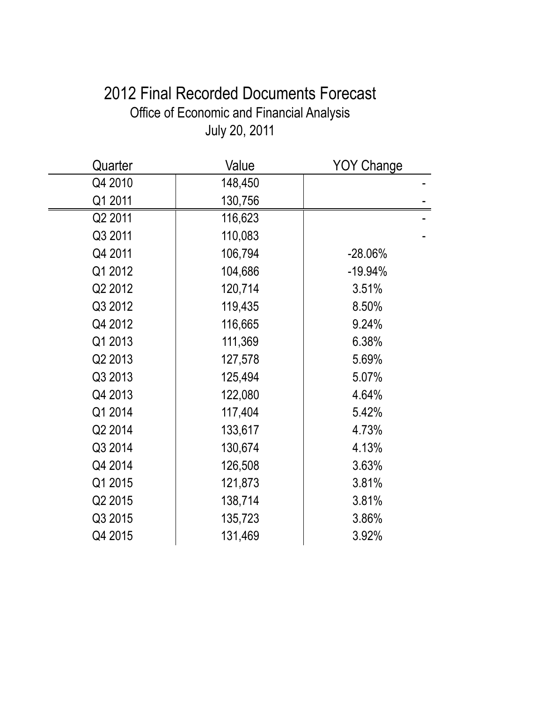# 2012 Final Recorded Documents Forecast Office of Economic and Financial Analysis July 20, 2011

| Quarter | Value   | <b>YOY Change</b> |
|---------|---------|-------------------|
| Q4 2010 | 148,450 |                   |
| Q1 2011 | 130,756 |                   |
| Q2 2011 | 116,623 |                   |
| Q3 2011 | 110,083 |                   |
| Q4 2011 | 106,794 | $-28.06%$         |
| Q1 2012 | 104,686 | $-19.94%$         |
| Q2 2012 | 120,714 | 3.51%             |
| Q3 2012 | 119,435 | 8.50%             |
| Q4 2012 | 116,665 | 9.24%             |
| Q1 2013 | 111,369 | 6.38%             |
| Q2 2013 | 127,578 | 5.69%             |
| Q3 2013 | 125,494 | 5.07%             |
| Q4 2013 | 122,080 | 4.64%             |
| Q1 2014 | 117,404 | 5.42%             |
| Q2 2014 | 133,617 | 4.73%             |
| Q3 2014 | 130,674 | 4.13%             |
| Q4 2014 | 126,508 | 3.63%             |
| Q1 2015 | 121,873 | 3.81%             |
| Q2 2015 | 138,714 | 3.81%             |
| Q3 2015 | 135,723 | 3.86%             |
| Q4 2015 | 131,469 | 3.92%             |